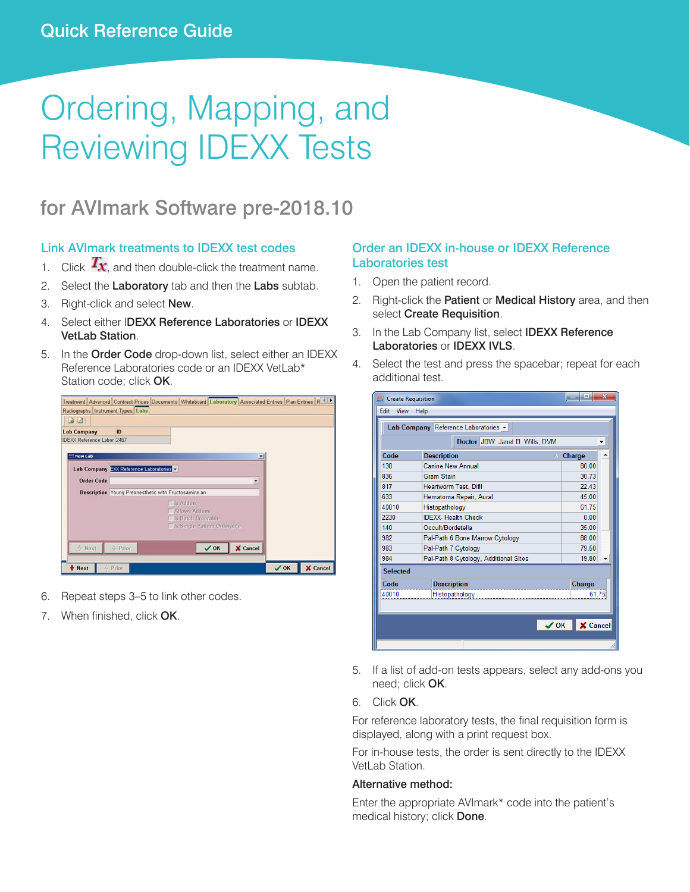# Ordering, Mapping, and Reviewing IDEXX Tests

# for AVImark Software pre-2018.10

# Link AVImark treatments to IDEXX test codes

- 1. Click  $T_{\mathbf{X}}$ , and then double-click the treatment name.
- 2. Select the Laboratory tab and then the Labs subtab.<br>3. Right-click and select New.
	- 3. Right-click and select New.
- 4. Select either I**DEXX Reference Laboratories** or **IDEXX**<br>**1 1 12. In the Order Code** drop-down list, select either an IDEXX 4. Select either IDEXX Reference Laboratories or IDEXX VetLab Station.
- Reference Laboratories code or an IDEXX VetLab\*<br>Station code: click **OK**. Station code; click OK.

| Radiographs Instrument Types Labs<br>32<br>ID<br><b>Lab Company</b><br>IDEXX Reference Labor 2467 |                                                      |  | Edit View Help | Lab Company Reference I<br><b>Do</b> |
|---------------------------------------------------------------------------------------------------|------------------------------------------------------|--|----------------|--------------------------------------|
| New Lab                                                                                           | $\vert x \vert$                                      |  | Code           | <b>Description</b>                   |
| Lab Company EXX Reference Laboratories                                                            |                                                      |  | 138            | Canine New An                        |
| <b>Order Code</b>                                                                                 | ¥.                                                   |  | 836            | Gram Stain                           |
|                                                                                                   |                                                      |  | 817            | <b>Heartworm Test</b>                |
|                                                                                                   | Description Young Preanesthetic with Fructosamine an |  | 633            | Hematoma Rep                         |
|                                                                                                   | <b>Lis Addon</b><br>Allows Addons                    |  | 40010          | Histopathology                       |
|                                                                                                   | Is Batch Orderable                                   |  | 2230           | <b>IDEXX-Health (</b>                |
|                                                                                                   | Is Single Patient Orderable                          |  | 140            | Occult/Bordete                       |
|                                                                                                   |                                                      |  | 982            | Pal-Path 6 Bon                       |
| <b>v</b> Next<br>$Q$ Prior                                                                        | X Cancel<br>$\sqrt{0K}$                              |  | 983            | Pal-Path 7 Cyto                      |
|                                                                                                   |                                                      |  | 984            | Pal-Path 8 Cyte                      |

- 6. Repeat steps 3–5 to link other codes.
- 7. When finished, click OK.

# Order an IDEXX in-house or IDEXX Reference Laboratories test

- 1. Open the patient record.
- 2. Right-click the **Patient** or **Medical History** area, and then select Create Requisition.
- 3. In the Lab Company list, select **IDEXX Reference** Laboratories or IDEXX IVLS.
- 4. Select the test and press the spacebar; repeat for each additional test.

| Radiographs Instrument Types Labs<br>32<br>ID<br><b>Lab Company</b> | Edit View Help                 | Lab Company Reference Laboratories v  |                              |
|---------------------------------------------------------------------|--------------------------------|---------------------------------------|------------------------------|
| IDEXX Reference Labor 2467                                          |                                | Doctor JBW: Janet B. Wills, DVM       | $\overline{\phantom{a}}$     |
| New Lab                                                             | Code                           | <b>Description</b>                    | Charge<br>٠                  |
| Lab Company EXX Reference Laboratories                              | 138                            | Canine New Annual                     | 80.00                        |
| <b>Order Code</b>                                                   | 836                            | Gram Stain                            | 30.73                        |
| Description Young Preanesthetic with Fructosamine an                | 817                            | Heartworm Test, Difil                 | 22.43                        |
| <b>Els Addon</b>                                                    | 633                            | Hematoma Repair, Aural                | 45.00                        |
| Allows Addons                                                       | 40010                          | Histopathology                        | 61.75                        |
| <b>Is Batch Orderable</b>                                           | 2230                           | <b>IDEXX- Health Check</b>            | 0.00                         |
| Single Patient Orderable                                            | 140                            | Occult/Bordetella                     | 35.00                        |
|                                                                     | 982                            | Pal-Path 6 Bone Marrow Cytology       | 88.00                        |
| X Cancel<br>$+$ Prior<br>$\sqrt{0K}$<br>O Next                      | 983                            | Pal-Path 7 Cytology                   | 79.50                        |
| ☆ Prior                                                             | 984<br>X Cancel<br>$\sqrt{0K}$ | Pal-Path 8 Cytology, Additional Sites | $19.80$ $\rightarrow$        |
| Next                                                                | <b>Selected</b>                |                                       |                              |
|                                                                     | Code                           | <b>Description</b>                    | Charge                       |
| Repeat steps 3-5 to link other codes.                               | 40010                          | Histopathology                        | 61.75                        |
|                                                                     |                                |                                       |                              |
| When finished, click OK.                                            |                                |                                       |                              |
|                                                                     |                                |                                       | X Cancel<br>$\vee$ OK $\mid$ |

- $T$  meed; click  $CK$ . 5. If a list of add-on tests appears, select any add-ons you need; click OK.
	- 6. Click OK.

Requests are listed by patient in the ImageVue\* CR20 RIS window. 2. Select the patient in the patient in the patient in the Image of the Image CR20  $\mu$ For reference laboratory tests, the final requisition form is displayed, along with a print request box.

**3. In the Study window, the Study window.** Show Station windows window. See the images of the images of the images of the images of the images of the images. See the images of the images of the images. See the images of t For in-house tests, the order is sent directly to the IDEXX

#### Alternative method:

Enter the appropriate AVImark\* code into the patient's medical history; click Done.